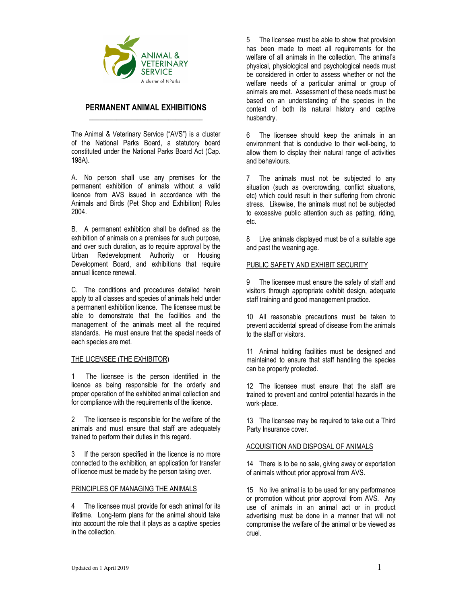

# PERMANENT ANIMAL EXHIBITIONS \_\_\_\_\_\_\_\_\_\_\_\_\_\_\_\_\_\_\_\_\_\_\_\_\_\_\_\_\_\_\_\_\_

The Animal & Veterinary Service ("AVS") is a cluster of the National Parks Board, a statutory board constituted under the National Parks Board Act (Cap. 198A).

A. No person shall use any premises for the permanent exhibition of animals without a valid licence from AVS issued in accordance with the Animals and Birds (Pet Shop and Exhibition) Rules 2004.

B. A permanent exhibition shall be defined as the exhibition of animals on a premises for such purpose, and over such duration, as to require approval by the Urban Redevelopment Authority or Housing Development Board, and exhibitions that require annual licence renewal.

C. The conditions and procedures detailed herein apply to all classes and species of animals held under a permanent exhibition licence. The licensee must be able to demonstrate that the facilities and the management of the animals meet all the required standards. He must ensure that the special needs of each species are met.

# THE LICENSEE (THE EXHIBITOR)

1 The licensee is the person identified in the licence as being responsible for the orderly and proper operation of the exhibited animal collection and for compliance with the requirements of the licence.

2 The licensee is responsible for the welfare of the animals and must ensure that staff are adequately trained to perform their duties in this regard.

3 If the person specified in the licence is no more connected to the exhibition, an application for transfer of licence must be made by the person taking over.

#### PRINCIPLES OF MANAGING THE ANIMALS

4 The licensee must provide for each animal for its lifetime. Long-term plans for the animal should take into account the role that it plays as a captive species in the collection.

5 The licensee must be able to show that provision has been made to meet all requirements for the welfare of all animals in the collection. The animal's physical, physiological and psychological needs must be considered in order to assess whether or not the welfare needs of a particular animal or group of animals are met. Assessment of these needs must be based on an understanding of the species in the context of both its natural history and captive husbandry.

6 The licensee should keep the animals in an environment that is conducive to their well-being, to allow them to display their natural range of activities and behaviours.

7 The animals must not be subjected to any situation (such as overcrowding, conflict situations, etc) which could result in their suffering from chronic stress. Likewise, the animals must not be subjected to excessive public attention such as patting, riding, etc.

8 Live animals displayed must be of a suitable age and past the weaning age.

### PUBLIC SAFETY AND EXHIBIT SECURITY

9 The licensee must ensure the safety of staff and visitors through appropriate exhibit design, adequate staff training and good management practice.

10 All reasonable precautions must be taken to prevent accidental spread of disease from the animals to the staff or visitors.

11 Animal holding facilities must be designed and maintained to ensure that staff handling the species can be properly protected.

12 The licensee must ensure that the staff are trained to prevent and control potential hazards in the work-place.

13 The licensee may be required to take out a Third Party Insurance cover.

#### ACQUISITION AND DISPOSAL OF ANIMALS

14 There is to be no sale, giving away or exportation of animals without prior approval from AVS.

15 No live animal is to be used for any performance or promotion without prior approval from AVS. Any use of animals in an animal act or in product advertising must be done in a manner that will not compromise the welfare of the animal or be viewed as cruel.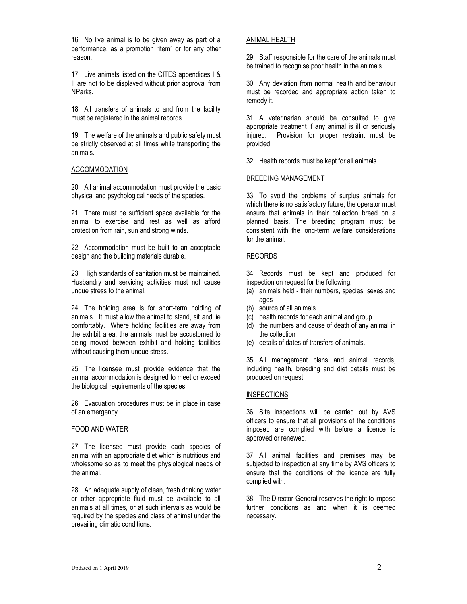16 No live animal is to be given away as part of a performance, as a promotion "item" or for any other reason.

17 Live animals listed on the CITES appendices I & II are not to be displayed without prior approval from NParks.

18 All transfers of animals to and from the facility must be registered in the animal records.

19 The welfare of the animals and public safety must be strictly observed at all times while transporting the animals.

#### ACCOMMODATION

20 All animal accommodation must provide the basic physical and psychological needs of the species.

21 There must be sufficient space available for the animal to exercise and rest as well as afford protection from rain, sun and strong winds.

22 Accommodation must be built to an acceptable design and the building materials durable.

23 High standards of sanitation must be maintained. Husbandry and servicing activities must not cause undue stress to the animal.

24 The holding area is for short-term holding of animals. It must allow the animal to stand, sit and lie comfortably. Where holding facilities are away from the exhibit area, the animals must be accustomed to being moved between exhibit and holding facilities without causing them undue stress.

25 The licensee must provide evidence that the animal accommodation is designed to meet or exceed the biological requirements of the species.

26 Evacuation procedures must be in place in case of an emergency.

#### FOOD AND WATER

27 The licensee must provide each species of animal with an appropriate diet which is nutritious and wholesome so as to meet the physiological needs of the animal.

28 An adequate supply of clean, fresh drinking water or other appropriate fluid must be available to all animals at all times, or at such intervals as would be required by the species and class of animal under the prevailing climatic conditions.

#### ANIMAL HEALTH

29 Staff responsible for the care of the animals must be trained to recognise poor health in the animals.

30 Any deviation from normal health and behaviour must be recorded and appropriate action taken to remedy it.

31 A veterinarian should be consulted to give appropriate treatment if any animal is ill or seriously injured. Provision for proper restraint must be provided.

32 Health records must be kept for all animals.

#### BREEDING MANAGEMENT

33 To avoid the problems of surplus animals for which there is no satisfactory future, the operator must ensure that animals in their collection breed on a planned basis. The breeding program must be consistent with the long-term welfare considerations for the animal.

### RECORDS

34 Records must be kept and produced for inspection on request for the following:

- (a) animals held their numbers, species, sexes and ages
- (b) source of all animals
- (c) health records for each animal and group
- (d) the numbers and cause of death of any animal in the collection
- (e) details of dates of transfers of animals.

35 All management plans and animal records, including health, breeding and diet details must be produced on request.

### **INSPECTIONS**

36 Site inspections will be carried out by AVS officers to ensure that all provisions of the conditions imposed are complied with before a licence is approved or renewed.

37 All animal facilities and premises may be subjected to inspection at any time by AVS officers to ensure that the conditions of the licence are fully complied with.

38 The Director-General reserves the right to impose further conditions as and when it is deemed necessary.